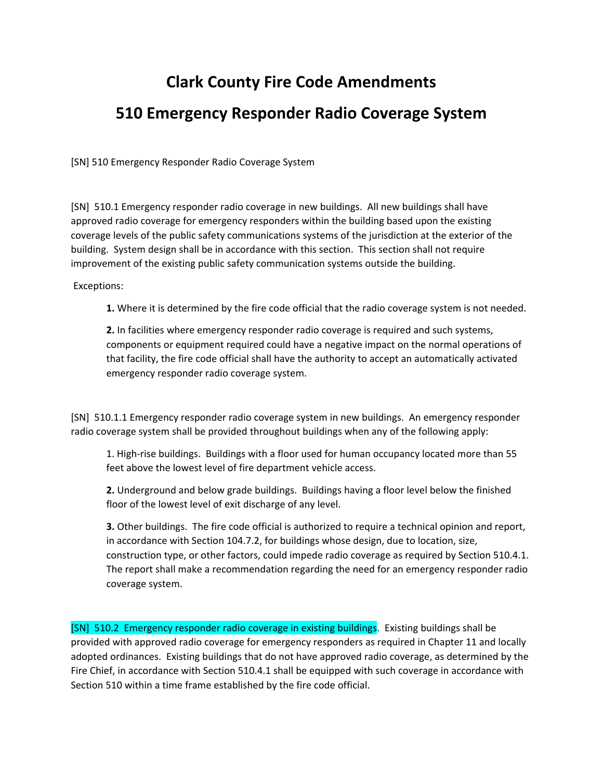## **Clark County Fire Code Amendments 510 Emergency Responder Radio Coverage System**

[SN] 510 Emergency Responder Radio Coverage System

[SN] 510.1 Emergency responder radio coverage in new buildings. All new buildings shall have approved radio coverage for emergency responders within the building based upon the existing coverage levels of the public safety communications systems of the jurisdiction at the exterior of the building. System design shall be in accordance with this section. This section shall not require improvement of the existing public safety communication systems outside the building.

Exceptions:

**1.** Where it is determined by the fire code official that the radio coverage system is not needed.

**2.** In facilities where emergency responder radio coverage is required and such systems, components or equipment required could have a negative impact on the normal operations of that facility, the fire code official shall have the authority to accept an automatically activated emergency responder radio coverage system.

[SN] 510.1.1 Emergency responder radio coverage system in new buildings. An emergency responder radio coverage system shall be provided throughout buildings when any of the following apply:

1. High-rise buildings. Buildings with a floor used for human occupancy located more than 55 feet above the lowest level of fire department vehicle access.

**2.** Underground and below grade buildings. Buildings having a floor level below the finished floor of the lowest level of exit discharge of any level.

**3.** Other buildings. The fire code official is authorized to require a technical opinion and report, in accordance with Section 104.7.2, for buildings whose design, due to location, size, construction type, or other factors, could impede radio coverage as required by Section 510.4.1. The report shall make a recommendation regarding the need for an emergency responder radio coverage system.

[SN] 510.2 Emergency responder radio coverage in existing buildings. Existing buildings shall be provided with approved radio coverage for emergency responders as required in Chapter 11 and locally adopted ordinances. Existing buildings that do not have approved radio coverage, as determined by the Fire Chief, in accordance with Section 510.4.1 shall be equipped with such coverage in accordance with Section 510 within a time frame established by the fire code official.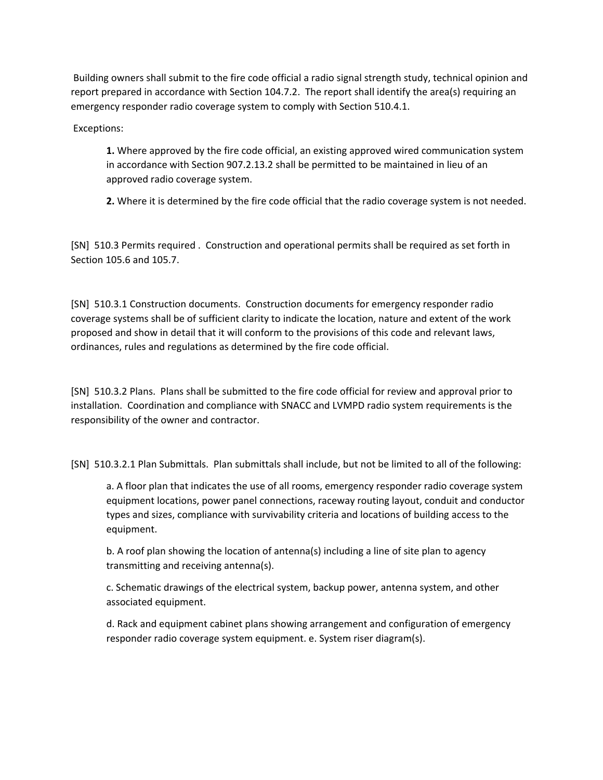Building owners shall submit to the fire code official a radio signal strength study, technical opinion and report prepared in accordance with Section 104.7.2. The report shall identify the area(s) requiring an emergency responder radio coverage system to comply with Section 510.4.1.

Exceptions:

**1.** Where approved by the fire code official, an existing approved wired communication system in accordance with Section 907.2.13.2 shall be permitted to be maintained in lieu of an approved radio coverage system.

**2.** Where it is determined by the fire code official that the radio coverage system is not needed.

[SN] 510.3 Permits required . Construction and operational permits shall be required as set forth in Section 105.6 and 105.7.

[SN] 510.3.1 Construction documents. Construction documents for emergency responder radio coverage systems shall be of sufficient clarity to indicate the location, nature and extent of the work proposed and show in detail that it will conform to the provisions of this code and relevant laws, ordinances, rules and regulations as determined by the fire code official.

[SN] 510.3.2 Plans. Plans shall be submitted to the fire code official for review and approval prior to installation. Coordination and compliance with SNACC and LVMPD radio system requirements is the responsibility of the owner and contractor.

[SN] 510.3.2.1 Plan Submittals. Plan submittals shall include, but not be limited to all of the following:

a. A floor plan that indicates the use of all rooms, emergency responder radio coverage system equipment locations, power panel connections, raceway routing layout, conduit and conductor types and sizes, compliance with survivability criteria and locations of building access to the equipment.

b. A roof plan showing the location of antenna(s) including a line of site plan to agency transmitting and receiving antenna(s).

c. Schematic drawings of the electrical system, backup power, antenna system, and other associated equipment.

d. Rack and equipment cabinet plans showing arrangement and configuration of emergency responder radio coverage system equipment. e. System riser diagram(s).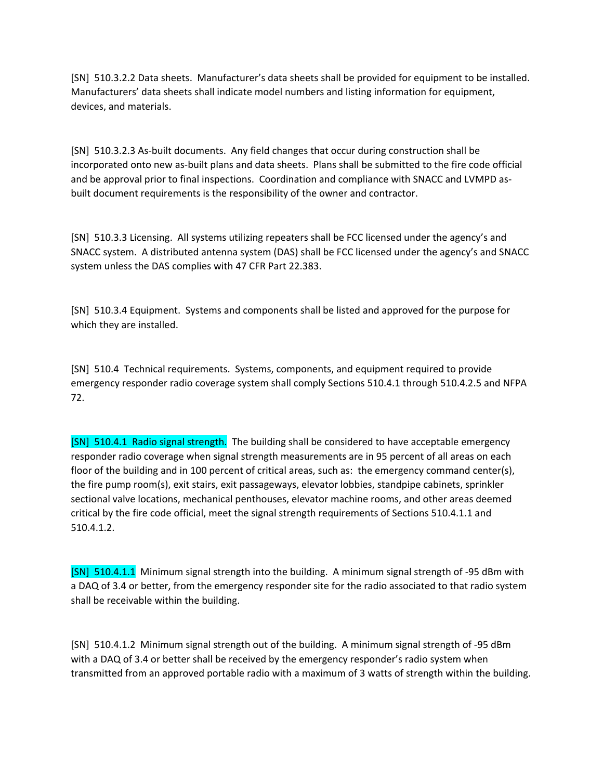[SN] 510.3.2.2 Data sheets. Manufacturer's data sheets shall be provided for equipment to be installed. Manufacturers' data sheets shall indicate model numbers and listing information for equipment, devices, and materials.

[SN] 510.3.2.3 As-built documents. Any field changes that occur during construction shall be incorporated onto new as‐built plans and data sheets. Plans shall be submitted to the fire code official and be approval prior to final inspections. Coordination and compliance with SNACC and LVMPD as‐ built document requirements is the responsibility of the owner and contractor.

[SN] 510.3.3 Licensing. All systems utilizing repeaters shall be FCC licensed under the agency's and SNACC system. A distributed antenna system (DAS) shall be FCC licensed under the agency's and SNACC system unless the DAS complies with 47 CFR Part 22.383.

[SN] 510.3.4 Equipment. Systems and components shall be listed and approved for the purpose for which they are installed.

[SN] 510.4 Technical requirements. Systems, components, and equipment required to provide emergency responder radio coverage system shall comply Sections 510.4.1 through 510.4.2.5 and NFPA 72.

[SN] 510.4.1 Radio signal strength. The building shall be considered to have acceptable emergency responder radio coverage when signal strength measurements are in 95 percent of all areas on each floor of the building and in 100 percent of critical areas, such as: the emergency command center(s), the fire pump room(s), exit stairs, exit passageways, elevator lobbies, standpipe cabinets, sprinkler sectional valve locations, mechanical penthouses, elevator machine rooms, and other areas deemed critical by the fire code official, meet the signal strength requirements of Sections 510.4.1.1 and 510.4.1.2.

[SN] 510.4.1.1 Minimum signal strength into the building. A minimum signal strength of ‐95 dBm with a DAQ of 3.4 or better, from the emergency responder site for the radio associated to that radio system shall be receivable within the building.

[SN] 510.4.1.2 Minimum signal strength out of the building. A minimum signal strength of ‐95 dBm with a DAQ of 3.4 or better shall be received by the emergency responder's radio system when transmitted from an approved portable radio with a maximum of 3 watts of strength within the building.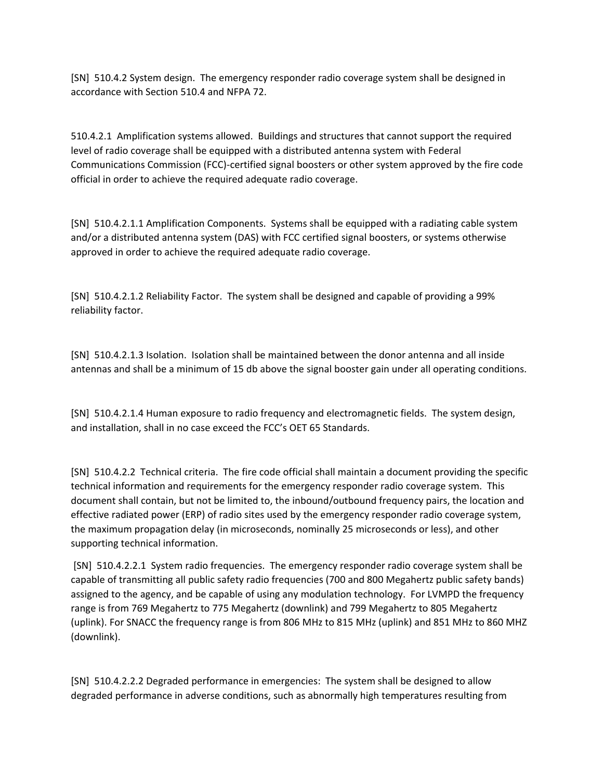[SN] 510.4.2 System design. The emergency responder radio coverage system shall be designed in accordance with Section 510.4 and NFPA 72.

510.4.2.1 Amplification systems allowed. Buildings and structures that cannot support the required level of radio coverage shall be equipped with a distributed antenna system with Federal Communications Commission (FCC)‐certified signal boosters or other system approved by the fire code official in order to achieve the required adequate radio coverage.

[SN] 510.4.2.1.1 Amplification Components. Systems shall be equipped with a radiating cable system and/or a distributed antenna system (DAS) with FCC certified signal boosters, or systems otherwise approved in order to achieve the required adequate radio coverage.

[SN] 510.4.2.1.2 Reliability Factor. The system shall be designed and capable of providing a 99% reliability factor.

[SN] 510.4.2.1.3 Isolation. Isolation shall be maintained between the donor antenna and all inside antennas and shall be a minimum of 15 db above the signal booster gain under all operating conditions.

[SN] 510.4.2.1.4 Human exposure to radio frequency and electromagnetic fields. The system design, and installation, shall in no case exceed the FCC's OET 65 Standards.

[SN] 510.4.2.2 Technical criteria. The fire code official shall maintain a document providing the specific technical information and requirements for the emergency responder radio coverage system. This document shall contain, but not be limited to, the inbound/outbound frequency pairs, the location and effective radiated power (ERP) of radio sites used by the emergency responder radio coverage system, the maximum propagation delay (in microseconds, nominally 25 microseconds or less), and other supporting technical information.

[SN] 510.4.2.2.1 System radio frequencies. The emergency responder radio coverage system shall be capable of transmitting all public safety radio frequencies (700 and 800 Megahertz public safety bands) assigned to the agency, and be capable of using any modulation technology. For LVMPD the frequency range is from 769 Megahertz to 775 Megahertz (downlink) and 799 Megahertz to 805 Megahertz (uplink). For SNACC the frequency range is from 806 MHz to 815 MHz (uplink) and 851 MHz to 860 MHZ (downlink).

[SN] 510.4.2.2.2 Degraded performance in emergencies: The system shall be designed to allow degraded performance in adverse conditions, such as abnormally high temperatures resulting from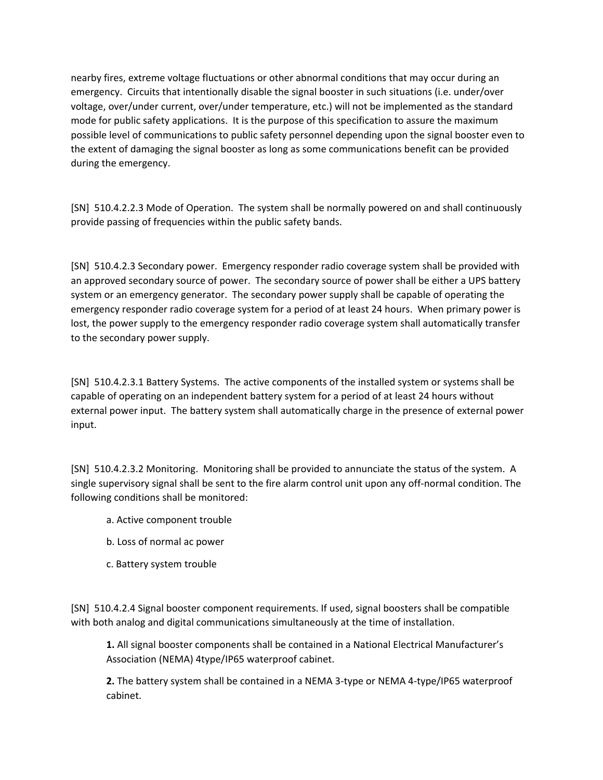nearby fires, extreme voltage fluctuations or other abnormal conditions that may occur during an emergency. Circuits that intentionally disable the signal booster in such situations (i.e. under/over voltage, over/under current, over/under temperature, etc.) will not be implemented as the standard mode for public safety applications. It is the purpose of this specification to assure the maximum possible level of communications to public safety personnel depending upon the signal booster even to the extent of damaging the signal booster as long as some communications benefit can be provided during the emergency.

[SN] 510.4.2.2.3 Mode of Operation. The system shall be normally powered on and shall continuously provide passing of frequencies within the public safety bands.

[SN] 510.4.2.3 Secondary power. Emergency responder radio coverage system shall be provided with an approved secondary source of power. The secondary source of power shall be either a UPS battery system or an emergency generator. The secondary power supply shall be capable of operating the emergency responder radio coverage system for a period of at least 24 hours. When primary power is lost, the power supply to the emergency responder radio coverage system shall automatically transfer to the secondary power supply.

[SN] 510.4.2.3.1 Battery Systems. The active components of the installed system or systems shall be capable of operating on an independent battery system for a period of at least 24 hours without external power input. The battery system shall automatically charge in the presence of external power input.

[SN] 510.4.2.3.2 Monitoring. Monitoring shall be provided to annunciate the status of the system. A single supervisory signal shall be sent to the fire alarm control unit upon any off‐normal condition. The following conditions shall be monitored:

- a. Active component trouble
- b. Loss of normal ac power
- c. Battery system trouble

[SN] 510.4.2.4 Signal booster component requirements. If used, signal boosters shall be compatible with both analog and digital communications simultaneously at the time of installation.

**1.** All signal booster components shall be contained in a National Electrical Manufacturer's Association (NEMA) 4type/IP65 waterproof cabinet.

**2.** The battery system shall be contained in a NEMA 3‐type or NEMA 4‐type/IP65 waterproof cabinet.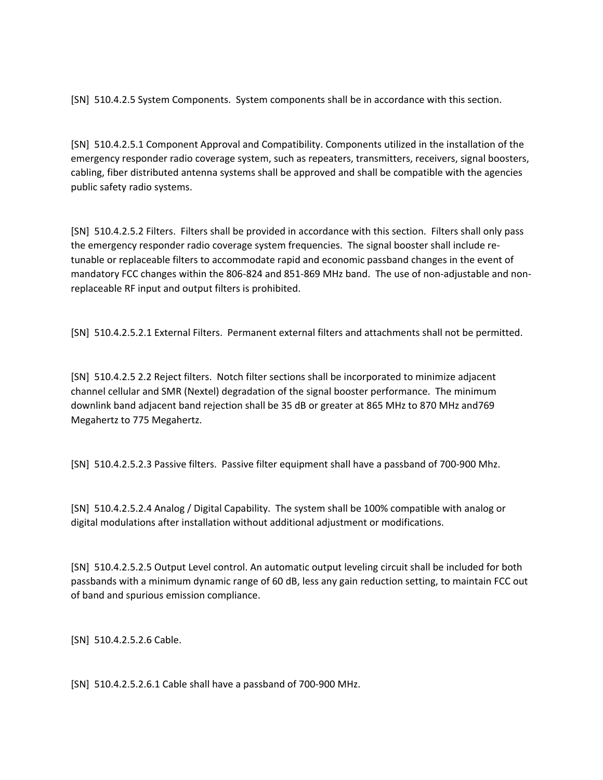[SN] 510.4.2.5 System Components. System components shall be in accordance with this section.

[SN] 510.4.2.5.1 Component Approval and Compatibility. Components utilized in the installation of the emergency responder radio coverage system, such as repeaters, transmitters, receivers, signal boosters, cabling, fiber distributed antenna systems shall be approved and shall be compatible with the agencies public safety radio systems.

[SN] 510.4.2.5.2 Filters. Filters shall be provided in accordance with this section. Filters shall only pass the emergency responder radio coverage system frequencies. The signal booster shall include retunable or replaceable filters to accommodate rapid and economic passband changes in the event of mandatory FCC changes within the 806‐824 and 851‐869 MHz band. The use of non‐adjustable and non‐ replaceable RF input and output filters is prohibited.

[SN] 510.4.2.5.2.1 External Filters. Permanent external filters and attachments shall not be permitted.

[SN] 510.4.2.5 2.2 Reject filters. Notch filter sections shall be incorporated to minimize adjacent channel cellular and SMR (Nextel) degradation of the signal booster performance. The minimum downlink band adjacent band rejection shall be 35 dB or greater at 865 MHz to 870 MHz and769 Megahertz to 775 Megahertz.

[SN] 510.4.2.5.2.3 Passive filters. Passive filter equipment shall have a passband of 700‐900 Mhz.

[SN] 510.4.2.5.2.4 Analog / Digital Capability. The system shall be 100% compatible with analog or digital modulations after installation without additional adjustment or modifications.

[SN] 510.4.2.5.2.5 Output Level control. An automatic output leveling circuit shall be included for both passbands with a minimum dynamic range of 60 dB, less any gain reduction setting, to maintain FCC out of band and spurious emission compliance.

[SN] 510.4.2.5.2.6 Cable.

[SN] 510.4.2.5.2.6.1 Cable shall have a passband of 700‐900 MHz.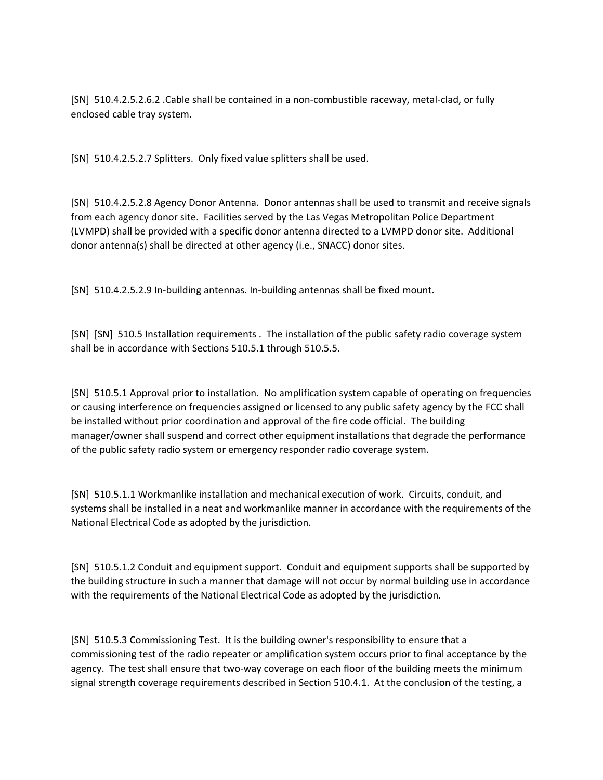[SN] 510.4.2.5.2.6.2 .Cable shall be contained in a non‐combustible raceway, metal‐clad, or fully enclosed cable tray system.

[SN] 510.4.2.5.2.7 Splitters. Only fixed value splitters shall be used.

[SN] 510.4.2.5.2.8 Agency Donor Antenna. Donor antennas shall be used to transmit and receive signals from each agency donor site. Facilities served by the Las Vegas Metropolitan Police Department (LVMPD) shall be provided with a specific donor antenna directed to a LVMPD donor site. Additional donor antenna(s) shall be directed at other agency (i.e., SNACC) donor sites.

[SN] 510.4.2.5.2.9 In‐building antennas. In‐building antennas shall be fixed mount.

[SN] [SN] 510.5 Installation requirements . The installation of the public safety radio coverage system shall be in accordance with Sections 510.5.1 through 510.5.5.

[SN] 510.5.1 Approval prior to installation. No amplification system capable of operating on frequencies or causing interference on frequencies assigned or licensed to any public safety agency by the FCC shall be installed without prior coordination and approval of the fire code official. The building manager/owner shall suspend and correct other equipment installations that degrade the performance of the public safety radio system or emergency responder radio coverage system.

[SN] 510.5.1.1 Workmanlike installation and mechanical execution of work. Circuits, conduit, and systems shall be installed in a neat and workmanlike manner in accordance with the requirements of the National Electrical Code as adopted by the jurisdiction.

[SN] 510.5.1.2 Conduit and equipment support. Conduit and equipment supports shall be supported by the building structure in such a manner that damage will not occur by normal building use in accordance with the requirements of the National Electrical Code as adopted by the jurisdiction.

[SN] 510.5.3 Commissioning Test. It is the building owner's responsibility to ensure that a commissioning test of the radio repeater or amplification system occurs prior to final acceptance by the agency. The test shall ensure that two-way coverage on each floor of the building meets the minimum signal strength coverage requirements described in Section 510.4.1. At the conclusion of the testing, a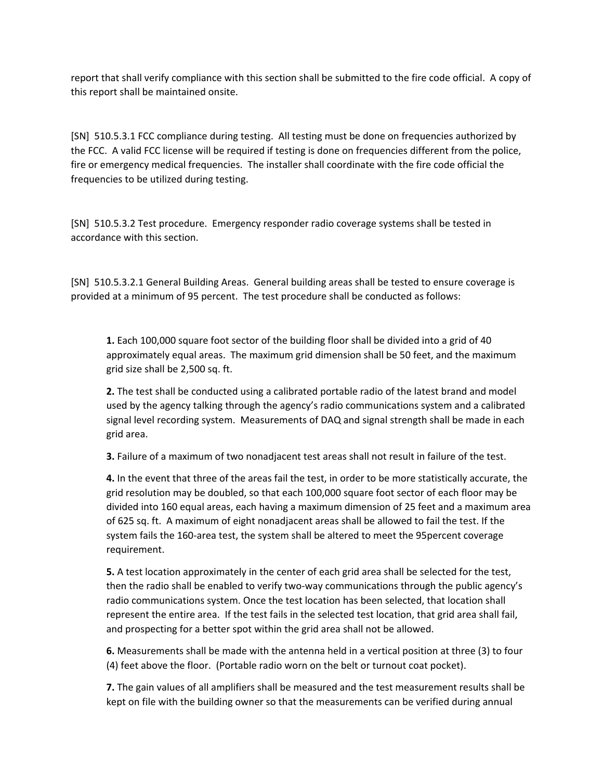report that shall verify compliance with this section shall be submitted to the fire code official. A copy of this report shall be maintained onsite.

[SN] 510.5.3.1 FCC compliance during testing. All testing must be done on frequencies authorized by the FCC. A valid FCC license will be required if testing is done on frequencies different from the police, fire or emergency medical frequencies. The installer shall coordinate with the fire code official the frequencies to be utilized during testing.

[SN] 510.5.3.2 Test procedure. Emergency responder radio coverage systems shall be tested in accordance with this section.

[SN] 510.5.3.2.1 General Building Areas. General building areas shall be tested to ensure coverage is provided at a minimum of 95 percent. The test procedure shall be conducted as follows:

**1.** Each 100,000 square foot sector of the building floor shall be divided into a grid of 40 approximately equal areas. The maximum grid dimension shall be 50 feet, and the maximum grid size shall be 2,500 sq. ft.

**2.** The test shall be conducted using a calibrated portable radio of the latest brand and model used by the agency talking through the agency's radio communications system and a calibrated signal level recording system. Measurements of DAQ and signal strength shall be made in each grid area.

**3.** Failure of a maximum of two nonadjacent test areas shall not result in failure of the test.

**4.** In the event that three of the areas fail the test, in order to be more statistically accurate, the grid resolution may be doubled, so that each 100,000 square foot sector of each floor may be divided into 160 equal areas, each having a maximum dimension of 25 feet and a maximum area of 625 sq. ft. A maximum of eight nonadjacent areas shall be allowed to fail the test. If the system fails the 160‐area test, the system shall be altered to meet the 95percent coverage requirement.

**5.** A test location approximately in the center of each grid area shall be selected for the test, then the radio shall be enabled to verify two-way communications through the public agency's radio communications system. Once the test location has been selected, that location shall represent the entire area. If the test fails in the selected test location, that grid area shall fail, and prospecting for a better spot within the grid area shall not be allowed.

**6.** Measurements shall be made with the antenna held in a vertical position at three (3) to four (4) feet above the floor. (Portable radio worn on the belt or turnout coat pocket).

**7.** The gain values of all amplifiers shall be measured and the test measurement results shall be kept on file with the building owner so that the measurements can be verified during annual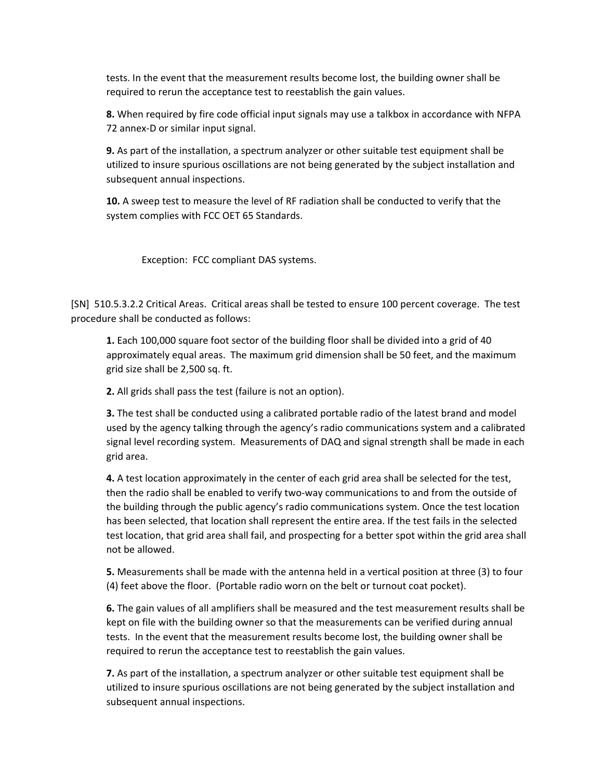tests. In the event that the measurement results become lost, the building owner shall be required to rerun the acceptance test to reestablish the gain values.

**8.** When required by fire code official input signals may use a talkbox in accordance with NFPA 72 annex‐D or similar input signal.

**9.** As part of the installation, a spectrum analyzer or other suitable test equipment shall be utilized to insure spurious oscillations are not being generated by the subject installation and subsequent annual inspections.

**10.** A sweep test to measure the level of RF radiation shall be conducted to verify that the system complies with FCC OET 65 Standards.

Exception: FCC compliant DAS systems.

[SN] 510.5.3.2.2 Critical Areas. Critical areas shall be tested to ensure 100 percent coverage. The test procedure shall be conducted as follows:

**1.** Each 100,000 square foot sector of the building floor shall be divided into a grid of 40 approximately equal areas. The maximum grid dimension shall be 50 feet, and the maximum grid size shall be 2,500 sq. ft.

**2.** All grids shall pass the test (failure is not an option).

**3.** The test shall be conducted using a calibrated portable radio of the latest brand and model used by the agency talking through the agency's radio communications system and a calibrated signal level recording system. Measurements of DAQ and signal strength shall be made in each grid area.

**4.** A test location approximately in the center of each grid area shall be selected for the test, then the radio shall be enabled to verify two-way communications to and from the outside of the building through the public agency's radio communications system. Once the test location has been selected, that location shall represent the entire area. If the test fails in the selected test location, that grid area shall fail, and prospecting for a better spot within the grid area shall not be allowed.

**5.** Measurements shall be made with the antenna held in a vertical position at three (3) to four (4) feet above the floor. (Portable radio worn on the belt or turnout coat pocket).

**6.** The gain values of all amplifiers shall be measured and the test measurement results shall be kept on file with the building owner so that the measurements can be verified during annual tests. In the event that the measurement results become lost, the building owner shall be required to rerun the acceptance test to reestablish the gain values.

**7.** As part of the installation, a spectrum analyzer or other suitable test equipment shall be utilized to insure spurious oscillations are not being generated by the subject installation and subsequent annual inspections.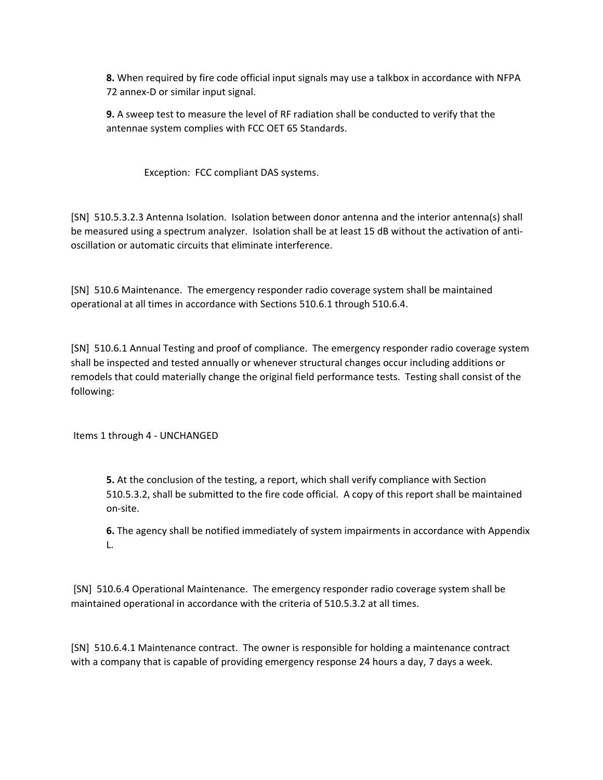**8.** When required by fire code official input signals may use a talkbox in accordance with NFPA 72 annex‐D or similar input signal.

**9.** A sweep test to measure the level of RF radiation shall be conducted to verify that the antennae system complies with FCC OET 65 Standards.

Exception: FCC compliant DAS systems.

[SN] 510.5.3.2.3 Antenna Isolation. Isolation between donor antenna and the interior antenna(s) shall be measured using a spectrum analyzer. Isolation shall be at least 15 dB without the activation of antioscillation or automatic circuits that eliminate interference.

[SN] 510.6 Maintenance. The emergency responder radio coverage system shall be maintained operational at all times in accordance with Sections 510.6.1 through 510.6.4.

[SN] 510.6.1 Annual Testing and proof of compliance. The emergency responder radio coverage system shall be inspected and tested annually or whenever structural changes occur including additions or remodels that could materially change the original field performance tests. Testing shall consist of the following:

Items 1 through 4 ‐ UNCHANGED

**5.** At the conclusion of the testing, a report, which shall verify compliance with Section 510.5.3.2, shall be submitted to the fire code official. A copy of this report shall be maintained on‐site.

**6.** The agency shall be notified immediately of system impairments in accordance with Appendix L.

[SN] 510.6.4 Operational Maintenance. The emergency responder radio coverage system shall be maintained operational in accordance with the criteria of 510.5.3.2 at all times.

[SN] 510.6.4.1 Maintenance contract. The owner is responsible for holding a maintenance contract with a company that is capable of providing emergency response 24 hours a day, 7 days a week.